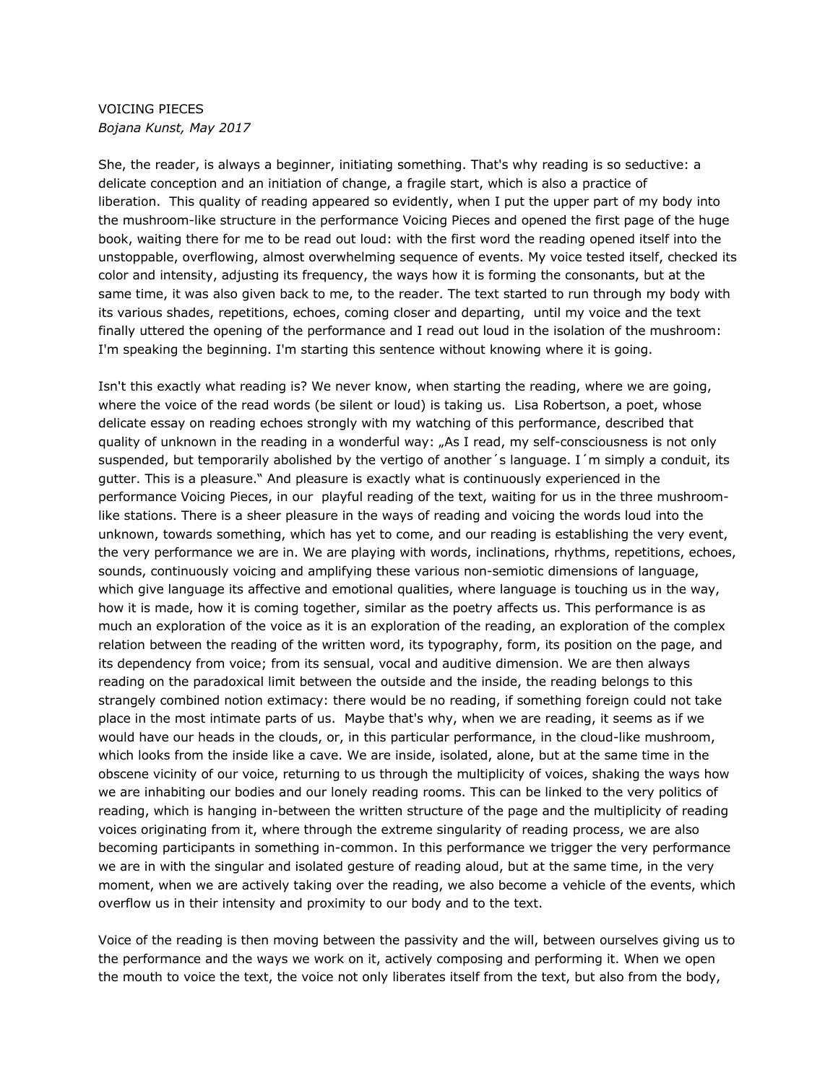## VOICING PIECES *Bojana Kunst, May 2017*

She, the reader, is always a beginner, initiating something. That's why reading is so seductive: a delicate conception and an initiation of change, a fragile start, which is also a practice of liberation. This quality of reading appeared so evidently, when I put the upper part of my body into the mushroom-like structure in the performance Voicing Pieces and opened the first page of the huge book, waiting there for me to be read out loud: with the first word the reading opened itself into the unstoppable, overflowing, almost overwhelming sequence of events. My voice tested itself, checked its color and intensity, adjusting its frequency, the ways how it is forming the consonants, but at the same time, it was also given back to me, to the reader. The text started to run through my body with its various shades, repetitions, echoes, coming closer and departing, until my voice and the text finally uttered the opening of the performance and I read out loud in the isolation of the mushroom: I'm speaking the beginning. I'm starting this sentence without knowing where it is going.

Isn't this exactly what reading is? We never know, when starting the reading, where we are going, where the voice of the read words (be silent or loud) is taking us. Lisa Robertson, a poet, whose delicate essay on reading echoes strongly with my watching of this performance, described that quality of unknown in the reading in a wonderful way: "As I read, my self-consciousness is not only suspended, but temporarily abolished by the vertigo of another's language. I'm simply a conduit, its gutter. This is a pleasure." And pleasure is exactly what is continuously experienced in the performance Voicing Pieces, in our playful reading of the text, waiting for us in the three mushroomlike stations. There is a sheer pleasure in the ways of reading and voicing the words loud into the unknown, towards something, which has yet to come, and our reading is establishing the very event, the very performance we are in. We are playing with words, inclinations, rhythms, repetitions, echoes, sounds, continuously voicing and amplifying these various non-semiotic dimensions of language, which give language its affective and emotional qualities, where language is touching us in the way, how it is made, how it is coming together, similar as the poetry affects us. This performance is as much an exploration of the voice as it is an exploration of the reading, an exploration of the complex relation between the reading of the written word, its typography, form, its position on the page, and its dependency from voice; from its sensual, vocal and auditive dimension. We are then always reading on the paradoxical limit between the outside and the inside, the reading belongs to this strangely combined notion extimacy: there would be no reading, if something foreign could not take place in the most intimate parts of us. Maybe that's why, when we are reading, it seems as if we would have our heads in the clouds, or, in this particular performance, in the cloud-like mushroom, which looks from the inside like a cave. We are inside, isolated, alone, but at the same time in the obscene vicinity of our voice, returning to us through the multiplicity of voices, shaking the ways how we are inhabiting our bodies and our lonely reading rooms. This can be linked to the very politics of reading, which is hanging in-between the written structure of the page and the multiplicity of reading voices originating from it, where through the extreme singularity of reading process, we are also becoming participants in something in-common. In this performance we trigger the very performance we are in with the singular and isolated gesture of reading aloud, but at the same time, in the very moment, when we are actively taking over the reading, we also become a vehicle of the events, which overflow us in their intensity and proximity to our body and to the text.

Voice of the reading is then moving between the passivity and the will, between ourselves giving us to the performance and the ways we work on it, actively composing and performing it. When we open the mouth to voice the text, the voice not only liberates itself from the text, but also from the body,